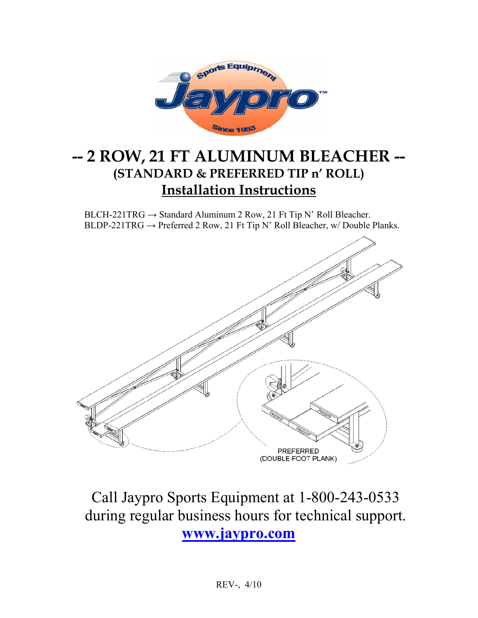

## **-- 2 ROW, 21 FT ALUMINUM BLEACHER -- (STANDARD & PREFERRED TIP n' ROLL) Installation Instructions**

BLCH-221TRG  $\rightarrow$  Standard Aluminum 2 Row, 21 Ft Tip N' Roll Bleacher. BLDP-221TRG → Preferred 2 Row, 21 Ft Tip N' Roll Bleacher, w/ Double Planks.



# Call Jaypro Sports Equipment at 1-800-243-0533 during regular business hours for technical support. **www.jaypro.com**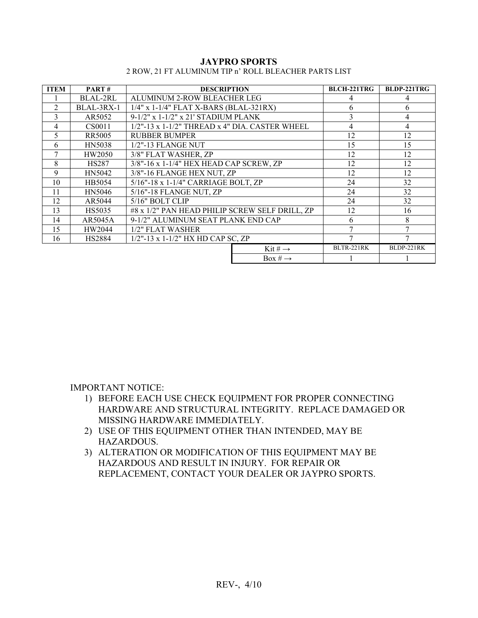| <b>JAYPRO SPORTS</b>                                  |  |  |  |  |  |
|-------------------------------------------------------|--|--|--|--|--|
| 2 ROW. 21 FT ALUMINUM TIP n' ROLL BLEACHER PARTS LIST |  |  |  |  |  |

| <b>ITEM</b>    | PART#         | <b>DESCRIPTION</b>                                |                     | <b>BLCH-221TRG</b> | <b>BLDP-221TRG</b> |
|----------------|---------------|---------------------------------------------------|---------------------|--------------------|--------------------|
|                | BLAL-2RL      | ALUMINUM 2-ROW BLEACHER LEG                       |                     | 4                  | 4                  |
| $\overline{c}$ | BLAL-3RX-1    | 1/4" x 1-1/4" FLAT X-BARS (BLAL-321RX)            |                     | 6                  | 6                  |
| 3              | AR5052        | 9-1/2" x 1-1/2" x 21' STADIUM PLANK               |                     | 3                  | 4                  |
| 4              | CS0011        | $1/2$ "-13 x 1-1/2" THREAD x 4" DIA. CASTER WHEEL | 4                   | 4                  |                    |
| 5              | <b>RR5005</b> | <b>RUBBER BUMPER</b>                              | 12                  | 12                 |                    |
| 6              | <b>HN5038</b> | 1/2"-13 FLANGE NUT                                | 15                  | 15                 |                    |
| 7              | HW2050        | 3/8" FLAT WASHER, ZP                              | 12                  | 12                 |                    |
| 8              | <b>HS287</b>  | 3/8"-16 x 1-1/4" HEX HEAD CAP SCREW, ZP           |                     | 12                 | 12                 |
| 9              | HN5042        | 3/8"-16 FLANGE HEX NUT, ZP                        |                     | 12                 | 12                 |
| 10             | HB5054        | 5/16"-18 x 1-1/4" CARRIAGE BOLT, ZP               |                     | 24                 | 32                 |
| 11             | HN5046        | 5/16"-18 FLANGE NUT, ZP                           |                     | 24                 | 32                 |
| 12             | AR5044        | 5/16" BOLT CLIP                                   |                     | 24                 | 32                 |
| 13             | HS5035        | #8 x 1/2" PAN HEAD PHILIP SCREW SELF DRILL, ZP    |                     | 12                 | 16                 |
| 14             | AR5045A       | 9-1/2" ALUMINUM SEAT PLANK END CAP                |                     | 6                  | 8                  |
| 15             | HW2044        | 1/2" FLAT WASHER                                  |                     | 7                  |                    |
| 16             | <b>HS2884</b> | $1/2$ "-13 x 1-1/2" HX HD CAP SC, ZP              |                     | 7                  |                    |
|                |               |                                                   | Kit # $\rightarrow$ | BLTR-221RK         | BLDP-221RK         |
|                |               |                                                   | Box # $\rightarrow$ |                    |                    |

IMPORTANT NOTICE:

- 1) BEFORE EACH USE CHECK EQUIPMENT FOR PROPER CONNECTING HARDWARE AND STRUCTURAL INTEGRITY. REPLACE DAMAGED OR MISSING HARDWARE IMMEDIATELY.
- 2) USE OF THIS EQUIPMENT OTHER THAN INTENDED, MAY BE HAZARDOUS.
- 3) ALTERATION OR MODIFICATION OF THIS EQUIPMENT MAY BE HAZARDOUS AND RESULT IN INJURY. FOR REPAIR OR REPLACEMENT, CONTACT YOUR DEALER OR JAYPRO SPORTS.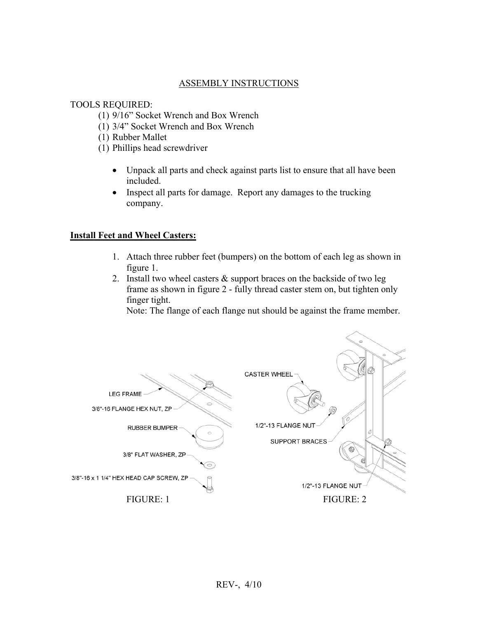## ASSEMBLY INSTRUCTIONS

#### TOOLS REQUIRED:

- (1) 9/16" Socket Wrench and Box Wrench
- (1) 3/4" Socket Wrench and Box Wrench
- (1) Rubber Mallet
- (1) Phillips head screwdriver
	- Unpack all parts and check against parts list to ensure that all have been included.
	- Inspect all parts for damage. Report any damages to the trucking company.

#### **Install Feet and Wheel Casters:**

- 1. Attach three rubber feet (bumpers) on the bottom of each leg as shown in figure 1.
- 2. Install two wheel casters & support braces on the backside of two leg frame as shown in figure 2 - fully thread caster stem on, but tighten only finger tight.

Note: The flange of each flange nut should be against the frame member.

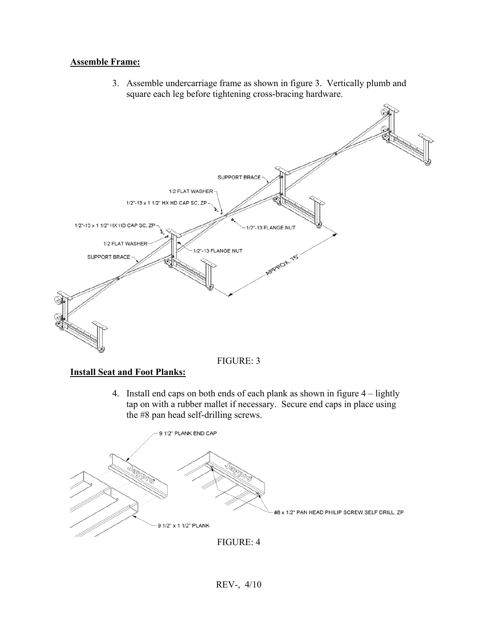## **Assemble Frame:**

3. Assemble undercarriage frame as shown in figure 3. Vertically plumb and square each leg before tightening cross-bracing hardware.





### **Install Seat and Foot Planks:**

4. Install end caps on both ends of each plank as shown in figure 4 – lightly tap on with a rubber mallet if necessary. Secure end caps in place using the #8 pan head self-drilling screws.



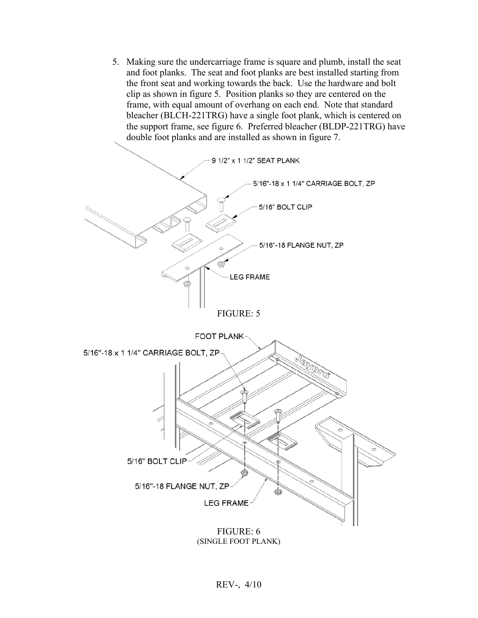5. Making sure the undercarriage frame is square and plumb, install the seat and foot planks. The seat and foot planks are best installed starting from the front seat and working towards the back. Use the hardware and bolt clip as shown in figure 5. Position planks so they are centered on the frame, with equal amount of overhang on each end. Note that standard bleacher (BLCH-221TRG) have a single foot plank, which is centered on the support frame, see figure 6. Preferred bleacher (BLDP-221TRG) have double foot planks and are installed as shown in figure 7.